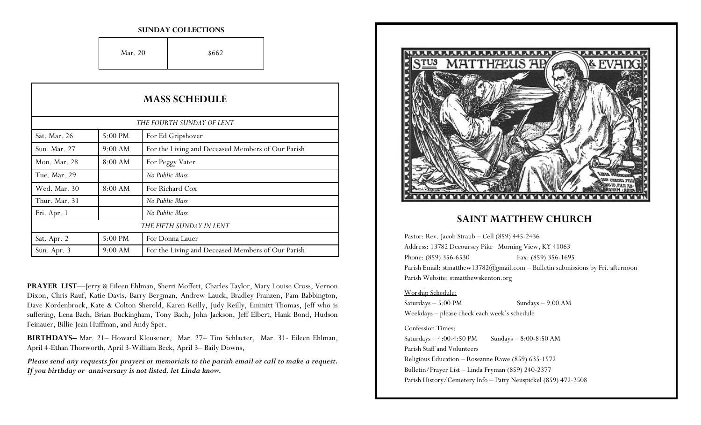#### **SUNDAY COLLECTIONS**

Mar. 20  $8662$ 

| <b>MASS SCHEDULE</b><br>THE FOURTH SUNDAY OF LENT |           |                                                   |
|---------------------------------------------------|-----------|---------------------------------------------------|
|                                                   |           |                                                   |
| Sun. Mar. 27                                      | 9:00 AM   | For the Living and Deceased Members of Our Parish |
| Mon. Mar. 28                                      | $8:00$ AM | For Peggy Vater                                   |
| Tue. Mar. 29                                      |           | No Public Mass                                    |
| Wed. Mar. 30                                      | 8:00 AM   | For Richard Cox                                   |
| Thur. Mar. 31                                     |           | No Public Mass                                    |
| Fri. Apr. 1                                       |           | No Public Mass                                    |
| THE FIFTH SUNDAY IN LENT                          |           |                                                   |
| Sat. Apr. 2                                       | 5:00 PM   | For Donna Lauer                                   |
| Sun. Apr. 3                                       | 9:00 AM   | For the Living and Deceased Members of Our Parish |

**PRAYER LIST**—Jerry & Eileen Ehlman, Sherri Moffett, Charles Taylor, Mary Louise Cross, Vernon Dixon, Chris Rauf, Katie Davis, Barry Bergman, Andrew Lauck, Bradley Franzen, Pam Babbington, Dave Kordenbrock, Kate & Colton Sherold, Karen Reilly, Judy Reilly, Emmitt Thomas, Jeff who is suffering, Lena Bach, Brian Buckingham, Tony Bach, John Jackson, Jeff Elbert, Hank Bond, Hudson Feinauer, Billie Jean Huffman, and Andy Sper.

**BIRTHDAYS–** Mar. 21– Howard Kleusener, Mar. 27– Tim Schlacter, Mar. 31- Eileen Ehlman, April 4-Ethan Thorworth, April 3-William Beck, April 3– Baily Downs,

*Please send any requests for prayers or memorials to the parish email or call to make a request. If you birthday or anniversary is not listed, let Linda know.*



## **SAINT MATTHEW CHURCH**

Pastor: Rev. Jacob Straub – Cell (859) 445-2436 Address: 13782 Decoursey Pike Morning View, KY 41063 Phone: (859) 356-6530 Fax: (859) 356-1695 Parish Email: stmatthew13782@gmail.com - Bulletin submissions by Fri. afternoon Parish Website: stmatthewskenton.org

#### Worship Schedule:

Saturdays – 5:00 PM Sundays – 9:00 AM Weekdays – please check each week's schedule

### Confession Times:

Saturdays  $-4:00-4:50 \text{ PM}$  Sundays  $-8:00-8:50 \text{ AM}$ Parish Staff and Volunteers Religious Education – Roseanne Rawe (859) 635-1572 Bulletin/Prayer List – Linda Fryman (859) 240-2377 Parish History/Cemetery Info – Patty Neuspickel (859) 472-2508